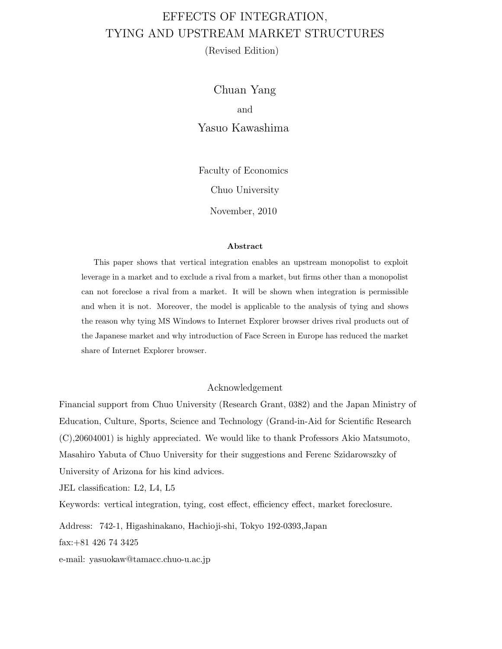# EFFECTS OF INTEGRATION, TYING AND UPSTREAM MARKET STRUCTURES

(Revised Edition)

Chuan Yang and Yasuo Kawashima

Faculty of Economics Chuo University

November, 2010

#### **Abstract**

This paper shows that vertical integration enables an upstream monopolist to exploit leverage in a market and to exclude a rival from a market, but firms other than a monopolist can not foreclose a rival from a market. It will be shown when integration is permissible and when it is not. Moreover, the model is applicable to the analysis of tying and shows the reason why tying MS Windows to Internet Explorer browser drives rival products out of the Japanese market and why introduction of Face Screen in Europe has reduced the market share of Internet Explorer browser.

#### Acknowledgement

Financial support from Chuo University (Research Grant, 0382) and the Japan Ministry of Education, Culture, Sports, Science and Technology (Grand-in-Aid for Scientific Research (C),20604001) is highly appreciated. We would like to thank Professors Akio Matsumoto, Masahiro Yabuta of Chuo University for their suggestions and Ferenc Szidarowszky of University of Arizona for his kind advices.

JEL classification: L2, L4, L5

Keywords: vertical integration, tying, cost effect, efficiency effect, market foreclosure.

Address: 742-1, Higashinakano, Hachioji-shi, Tokyo 192-0393,Japan

fax:+81 426 74 3425

e-mail: yasuokaw@tamacc.chuo-u.ac.jp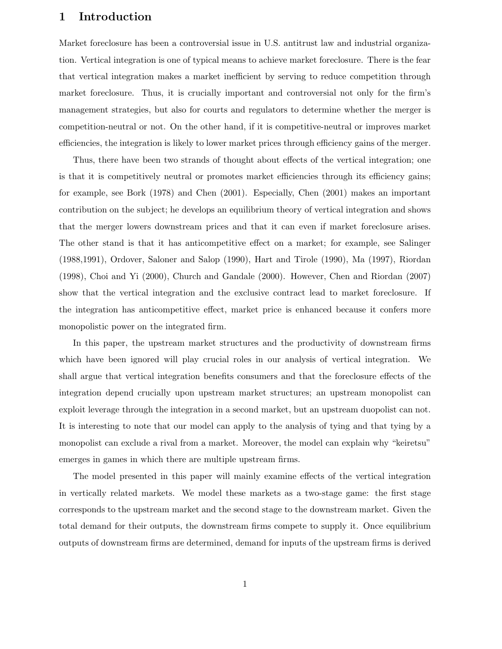## **1 Introduction**

Market foreclosure has been a controversial issue in U.S. antitrust law and industrial organization. Vertical integration is one of typical means to achieve market foreclosure. There is the fear that vertical integration makes a market inefficient by serving to reduce competition through market foreclosure. Thus, it is crucially important and controversial not only for the firm's management strategies, but also for courts and regulators to determine whether the merger is competition-neutral or not. On the other hand, if it is competitive-neutral or improves market efficiencies, the integration is likely to lower market prices through efficiency gains of the merger.

Thus, there have been two strands of thought about effects of the vertical integration; one is that it is competitively neutral or promotes market efficiencies through its efficiency gains; for example, see Bork (1978) and Chen (2001). Especially, Chen (2001) makes an important contribution on the subject; he develops an equilibrium theory of vertical integration and shows that the merger lowers downstream prices and that it can even if market foreclosure arises. The other stand is that it has anticompetitive effect on a market; for example, see Salinger (1988,1991), Ordover, Saloner and Salop (1990), Hart and Tirole (1990), Ma (1997), Riordan (1998), Choi and Yi (2000), Church and Gandale (2000). However, Chen and Riordan (2007) show that the vertical integration and the exclusive contract lead to market foreclosure. If the integration has anticompetitive effect, market price is enhanced because it confers more monopolistic power on the integrated firm.

In this paper, the upstream market structures and the productivity of downstream firms which have been ignored will play crucial roles in our analysis of vertical integration. We shall argue that vertical integration benefits consumers and that the foreclosure effects of the integration depend crucially upon upstream market structures; an upstream monopolist can exploit leverage through the integration in a second market, but an upstream duopolist can not. It is interesting to note that our model can apply to the analysis of tying and that tying by a monopolist can exclude a rival from a market. Moreover, the model can explain why "keiretsu" emerges in games in which there are multiple upstream firms.

The model presented in this paper will mainly examine effects of the vertical integration in vertically related markets. We model these markets as a two-stage game: the first stage corresponds to the upstream market and the second stage to the downstream market. Given the total demand for their outputs, the downstream firms compete to supply it. Once equilibrium outputs of downstream firms are determined, demand for inputs of the upstream firms is derived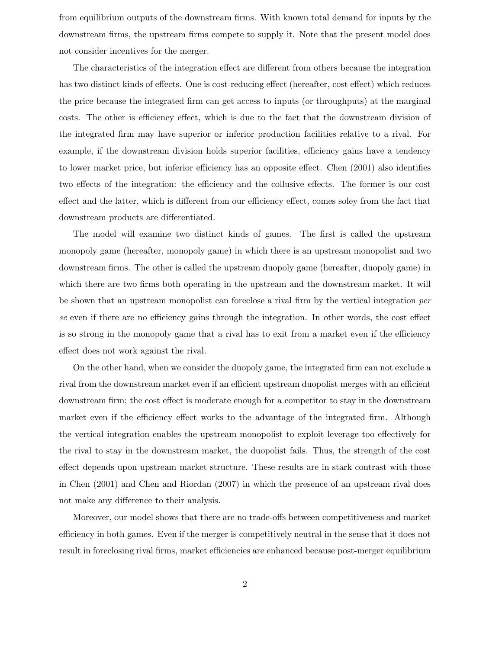from equilibrium outputs of the downstream firms. With known total demand for inputs by the downstream firms, the upstream firms compete to supply it. Note that the present model does not consider incentives for the merger.

The characteristics of the integration effect are different from others because the integration has two distinct kinds of effects. One is cost-reducing effect (hereafter, cost effect) which reduces the price because the integrated firm can get access to inputs (or throughputs) at the marginal costs. The other is efficiency effect, which is due to the fact that the downstream division of the integrated firm may have superior or inferior production facilities relative to a rival. For example, if the downstream division holds superior facilities, efficiency gains have a tendency to lower market price, but inferior efficiency has an opposite effect. Chen (2001) also identifies two effects of the integration: the efficiency and the collusive effects. The former is our cost effect and the latter, which is different from our efficiency effect, comes soley from the fact that downstream products are differentiated.

The model will examine two distinct kinds of games. The first is called the upstream monopoly game (hereafter, monopoly game) in which there is an upstream monopolist and two downstream firms. The other is called the upstream duopoly game (hereafter, duopoly game) in which there are two firms both operating in the upstream and the downstream market. It will be shown that an upstream monopolist can foreclose a rival firm by the vertical integration *per se* even if there are no efficiency gains through the integration. In other words, the cost effect is so strong in the monopoly game that a rival has to exit from a market even if the efficiency effect does not work against the rival.

On the other hand, when we consider the duopoly game, the integrated firm can not exclude a rival from the downstream market even if an efficient upstream duopolist merges with an efficient downstream firm; the cost effect is moderate enough for a competitor to stay in the downstream market even if the efficiency effect works to the advantage of the integrated firm. Although the vertical integration enables the upstream monopolist to exploit leverage too effectively for the rival to stay in the downstream market, the duopolist fails. Thus, the strength of the cost effect depends upon upstream market structure. These results are in stark contrast with those in Chen (2001) and Chen and Riordan (2007) in which the presence of an upstream rival does not make any difference to their analysis.

Moreover, our model shows that there are no trade-offs between competitiveness and market efficiency in both games. Even if the merger is competitively neutral in the sense that it does not result in foreclosing rival firms, market efficiencies are enhanced because post-merger equilibrium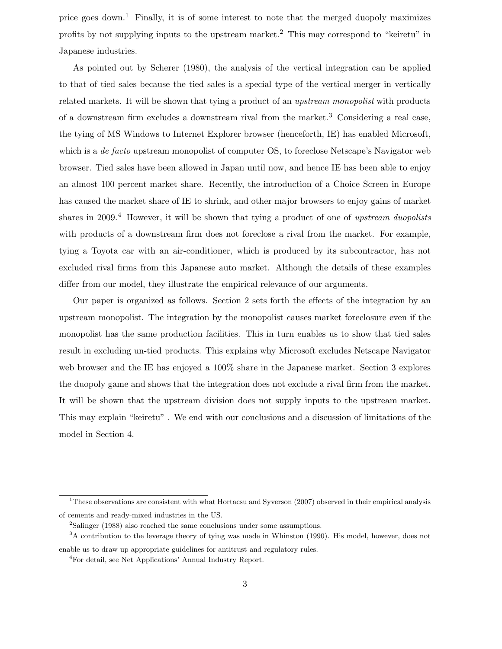price goes down.<sup>1</sup> Finally, it is of some interest to note that the merged duopoly maximizes profits by not supplying inputs to the upstream market.<sup>2</sup> This may correspond to "keiretu" in Japanese industries.

As pointed out by Scherer (1980), the analysis of the vertical integration can be applied to that of tied sales because the tied sales is a special type of the vertical merger in vertically related markets. It will be shown that tying a product of an *upstream monopolist* with products of a downstream firm excludes a downstream rival from the market.<sup>3</sup> Considering a real case, the tying of MS Windows to Internet Explorer browser (henceforth, IE) has enabled Microsoft, which is a *de facto* upstream monopolist of computer OS, to foreclose Netscape's Navigator web browser. Tied sales have been allowed in Japan until now, and hence IE has been able to enjoy an almost 100 percent market share. Recently, the introduction of a Choice Screen in Europe has caused the market share of IE to shrink, and other major browsers to enjoy gains of market shares in 2009.<sup>4</sup> However, it will be shown that tying a product of one of *upstream duopolists* with products of a downstream firm does not foreclose a rival from the market. For example, tying a Toyota car with an air-conditioner, which is produced by its subcontractor, has not excluded rival firms from this Japanese auto market. Although the details of these examples differ from our model, they illustrate the empirical relevance of our arguments.

Our paper is organized as follows. Section 2 sets forth the effects of the integration by an upstream monopolist. The integration by the monopolist causes market foreclosure even if the monopolist has the same production facilities. This in turn enables us to show that tied sales result in excluding un-tied products. This explains why Microsoft excludes Netscape Navigator web browser and the IE has enjoyed a 100% share in the Japanese market. Section 3 explores the duopoly game and shows that the integration does not exclude a rival firm from the market. It will be shown that the upstream division does not supply inputs to the upstream market. This may explain "keiretu" . We end with our conclusions and a discussion of limitations of the model in Section 4.

<sup>&</sup>lt;sup>1</sup>These observations are consistent with what Hortacsu and Syverson (2007) observed in their empirical analysis of cements and ready-mixed industries in the US.

<sup>2</sup>Salinger (1988) also reached the same conclusions under some assumptions.

<sup>&</sup>lt;sup>3</sup>A contribution to the leverage theory of tying was made in Whinston (1990). His model, however, does not enable us to draw up appropriate guidelines for antitrust and regulatory rules.

<sup>4</sup>For detail, see Net Applications' Annual Industry Report.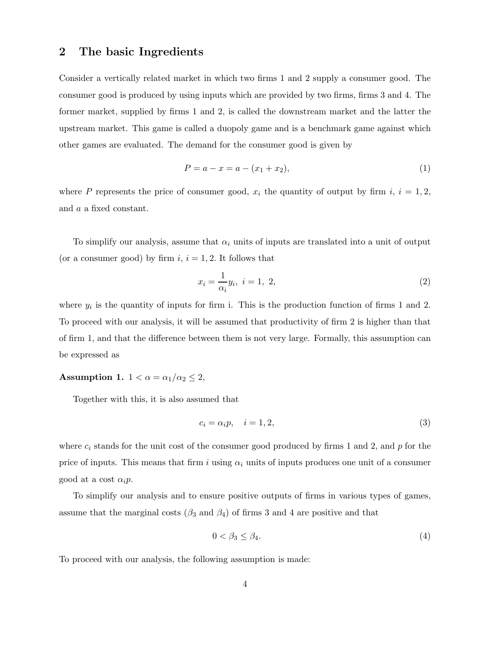## **2 The basic Ingredients**

Consider a vertically related market in which two firms 1 and 2 supply a consumer good. The consumer good is produced by using inputs which are provided by two firms, firms 3 and 4. The former market, supplied by firms 1 and 2, is called the downstream market and the latter the upstream market. This game is called a duopoly game and is a benchmark game against which other games are evaluated. The demand for the consumer good is given by

$$
P = a - x = a - (x_1 + x_2),
$$
\n(1)

where P represents the price of consumer good,  $x_i$  the quantity of output by firm i,  $i = 1, 2$ , and a a fixed constant.

To simplify our analysis, assume that  $\alpha_i$  units of inputs are translated into a unit of output (or a consumer good) by firm  $i, i = 1, 2$ . It follows that

$$
x_i = \frac{1}{\alpha_i} y_i, \ i = 1, \ 2,
$$
\n(2)

where  $y_i$  is the quantity of inputs for firm i. This is the production function of firms 1 and 2. To proceed with our analysis, it will be assumed that productivity of firm 2 is higher than that of firm 1, and that the difference between them is not very large. Formally, this assumption can be expressed as

#### **Assumption 1.**  $1 < \alpha = \alpha_1/\alpha_2 \leq 2$ ,

Together with this, it is also assumed that

$$
c_i = \alpha_i p, \quad i = 1, 2,
$$
\n<sup>(3)</sup>

where  $c_i$  stands for the unit cost of the consumer good produced by firms 1 and 2, and  $p$  for the price of inputs. This means that firm i using  $\alpha_i$  units of inputs produces one unit of a consumer good at a cost  $\alpha_i p$ .

To simplify our analysis and to ensure positive outputs of firms in various types of games, assume that the marginal costs ( $\beta_3$  and  $\beta_4$ ) of firms 3 and 4 are positive and that

$$
0 < \beta_3 \le \beta_4. \tag{4}
$$

To proceed with our analysis, the following assumption is made: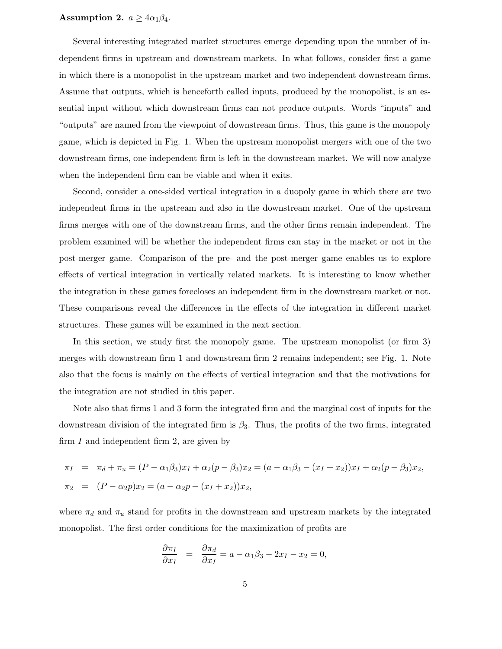#### **Assumption 2.**  $a \geq 4\alpha_1\beta_4$ .

Several interesting integrated market structures emerge depending upon the number of independent firms in upstream and downstream markets. In what follows, consider first a game in which there is a monopolist in the upstream market and two independent downstream firms. Assume that outputs, which is henceforth called inputs, produced by the monopolist, is an essential input without which downstream firms can not produce outputs. Words "inputs" and "outputs" are named from the viewpoint of downstream firms. Thus, this game is the monopoly game, which is depicted in Fig. 1. When the upstream monopolist mergers with one of the two downstream firms, one independent firm is left in the downstream market. We will now analyze when the independent firm can be viable and when it exits.

Second, consider a one-sided vertical integration in a duopoly game in which there are two independent firms in the upstream and also in the downstream market. One of the upstream firms merges with one of the downstream firms, and the other firms remain independent. The problem examined will be whether the independent firms can stay in the market or not in the post-merger game. Comparison of the pre- and the post-merger game enables us to explore effects of vertical integration in vertically related markets. It is interesting to know whether the integration in these games forecloses an independent firm in the downstream market or not. These comparisons reveal the differences in the effects of the integration in different market structures. These games will be examined in the next section.

In this section, we study first the monopoly game. The upstream monopolist (or firm 3) merges with downstream firm 1 and downstream firm 2 remains independent; see Fig. 1. Note also that the focus is mainly on the effects of vertical integration and that the motivations for the integration are not studied in this paper.

Note also that firms 1 and 3 form the integrated firm and the marginal cost of inputs for the downstream division of the integrated firm is  $\beta_3$ . Thus, the profits of the two firms, integrated firm  $I$  and independent firm 2, are given by

$$
\pi_I = \pi_d + \pi_u = (P - \alpha_1 \beta_3) x_I + \alpha_2 (p - \beta_3) x_2 = (a - \alpha_1 \beta_3 - (x_I + x_2)) x_I + \alpha_2 (p - \beta_3) x_2,
$$
  

$$
\pi_2 = (P - \alpha_2 p) x_2 = (a - \alpha_2 p - (x_I + x_2)) x_2,
$$

where  $\pi_d$  and  $\pi_u$  stand for profits in the downstream and upstream markets by the integrated monopolist. The first order conditions for the maximization of profits are

$$
\frac{\partial \pi_I}{\partial x_I} = \frac{\partial \pi_d}{\partial x_I} = a - \alpha_1 \beta_3 - 2x_I - x_2 = 0,
$$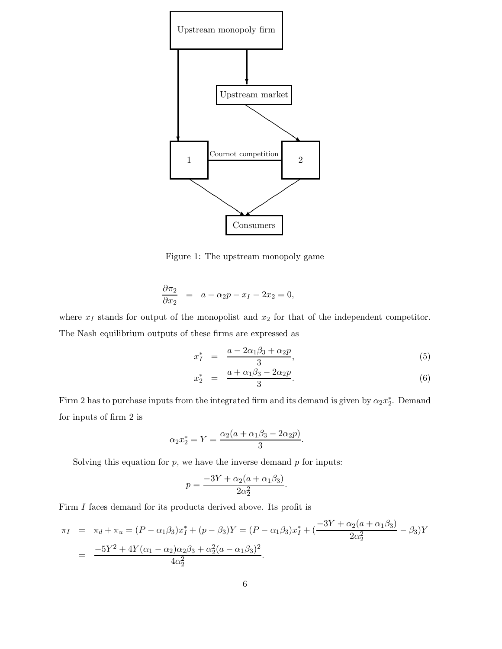

Figure 1: The upstream monopoly game

$$
\frac{\partial \pi_2}{\partial x_2} = a - \alpha_2 p - x_I - 2x_2 = 0,
$$

where  $x_I$  stands for output of the monopolist and  $x_2$  for that of the independent competitor. The Nash equilibrium outputs of these firms are expressed as

$$
x_I^* = \frac{a - 2\alpha_1\beta_3 + \alpha_2 p}{3},\tag{5}
$$

$$
x_2^* = \frac{a + \alpha_1 \beta_3 - 2\alpha_2 p}{3}.
$$
 (6)

Firm 2 has to purchase inputs from the integrated firm and its demand is given by  $\alpha_2 x_2^*$ . Demand for inputs of firm 2 is

$$
\alpha_2 x_2^* = Y = \frac{\alpha_2 (a + \alpha_1 \beta_3 - 2\alpha_2 p)}{3}.
$$

Solving this equation for  $p$ , we have the inverse demand  $p$  for inputs:

$$
p = \frac{-3Y + \alpha_2(a + \alpha_1\beta_3)}{2\alpha_2^2}.
$$

Firm *I* faces demand for its products derived above. Its profit is

$$
\pi_I = \pi_d + \pi_u = (P - \alpha_1 \beta_3) x_I^* + (p - \beta_3) Y = (P - \alpha_1 \beta_3) x_I^* + \left( \frac{-3Y + \alpha_2 (a + \alpha_1 \beta_3)}{2\alpha_2^2} - \beta_3 \right) Y
$$
  
= 
$$
\frac{-5Y^2 + 4Y(\alpha_1 - \alpha_2)\alpha_2 \beta_3 + \alpha_2^2 (a - \alpha_1 \beta_3)^2}{4\alpha_2^2}.
$$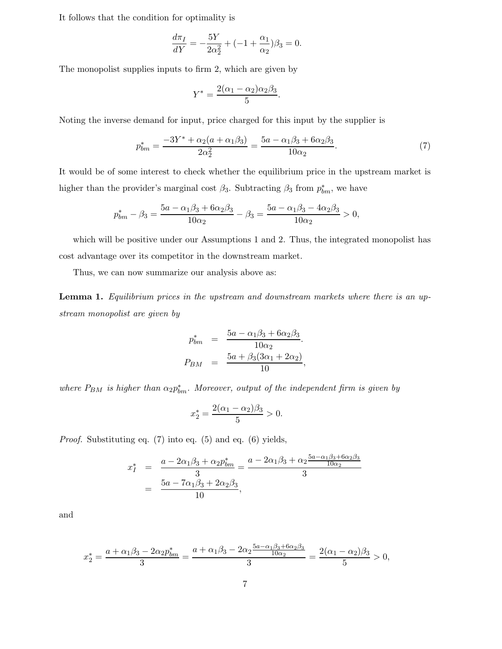It follows that the condition for optimality is

$$
\frac{d\pi_I}{dY} = -\frac{5Y}{2\alpha_2^2} + (-1 + \frac{\alpha_1}{\alpha_2})\beta_3 = 0.
$$

The monopolist supplies inputs to firm 2, which are given by

$$
Y^* = \frac{2(\alpha_1 - \alpha_2)\alpha_2\beta_3}{5}.
$$

Noting the inverse demand for input, price charged for this input by the supplier is

$$
p_{bm}^* = \frac{-3Y^* + \alpha_2(a + \alpha_1\beta_3)}{2\alpha_2^2} = \frac{5a - \alpha_1\beta_3 + 6\alpha_2\beta_3}{10\alpha_2}.\tag{7}
$$

It would be of some interest to check whether the equilibrium price in the upstream market is higher than the provider's marginal cost  $\beta_3$ . Subtracting  $\beta_3$  from  $p_{bm}^*$ , we have

$$
p_{bm}^* - \beta_3 = \frac{5a - \alpha_1\beta_3 + 6\alpha_2\beta_3}{10\alpha_2} - \beta_3 = \frac{5a - \alpha_1\beta_3 - 4\alpha_2\beta_3}{10\alpha_2} > 0,
$$

which will be positive under our Assumptions 1 and 2. Thus, the integrated monopolist has cost advantage over its competitor in the downstream market.

Thus, we can now summarize our analysis above as:

**Lemma 1.** *Equilibrium prices in the upstream and downstream markets where there is an upstream monopolist are given by*

$$
p_{bm}^{*} = \frac{5a - \alpha_1\beta_3 + 6\alpha_2\beta_3}{10\alpha_2}.
$$
  

$$
P_{BM} = \frac{5a + \beta_3(3\alpha_1 + 2\alpha_2)}{10},
$$

where  $P_{BM}$  is higher than  $\alpha_2 p_{bm}^*$ . Moreover, output of the independent firm is given by

$$
x_2^* = \frac{2(\alpha_1 - \alpha_2)\beta_3}{5} > 0.
$$

*Proof.* Substituting eq. (7) into eq. (5) and eq. (6) yields,

$$
x_{I}^{*} = \frac{a - 2\alpha_{1}\beta_{3} + \alpha_{2}p_{bm}^{*}}{3} = \frac{a - 2\alpha_{1}\beta_{3} + \alpha_{2}\frac{5a - \alpha_{1}\beta_{3} + 6\alpha_{2}\beta_{3}}{10\alpha_{2}}}{3}
$$
  
= 
$$
\frac{5a - 7\alpha_{1}\beta_{3} + 2\alpha_{2}\beta_{3}}{10},
$$

and

$$
x_2^* = \frac{a + \alpha_1 \beta_3 - 2\alpha_2 p_{bm}^*}{3} = \frac{a + \alpha_1 \beta_3 - 2\alpha_2 \frac{5a - \alpha_1 \beta_3 + 6\alpha_2 \beta_3}{10\alpha_2}}{3} = \frac{2(\alpha_1 - \alpha_2)\beta_3}{5} > 0,
$$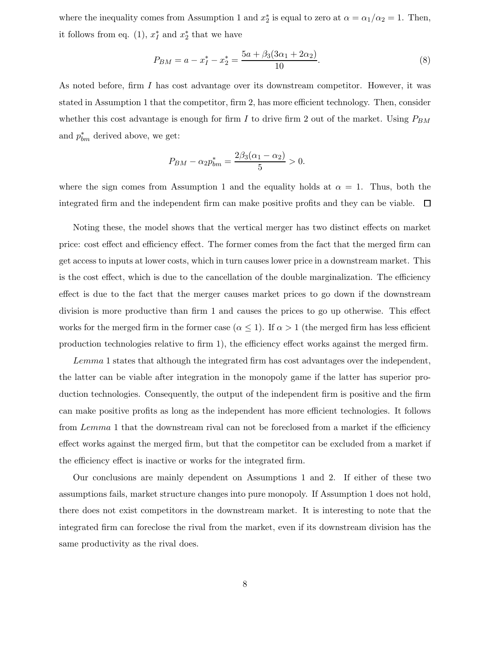where the inequality comes from Assumption 1 and  $x_2^*$  is equal to zero at  $\alpha = \alpha_1/\alpha_2 = 1$ . Then, it follows from eq. (1),  $x_I^*$  and  $x_2^*$  that we have

$$
P_{BM} = a - x_I^* - x_2^* = \frac{5a + \beta_3(3\alpha_1 + 2\alpha_2)}{10}.
$$
\n(8)

As noted before, firm I has cost advantage over its downstream competitor. However, it was stated in Assumption 1 that the competitor, firm 2, has more efficient technology. Then, consider whether this cost advantage is enough for firm I to drive firm 2 out of the market. Using  $P_{BM}$ and  $p_{bm}^*$  derived above, we get:

$$
P_{BM} - \alpha_2 p_{bm}^* = \frac{2\beta_3(\alpha_1 - \alpha_2)}{5} > 0.
$$

where the sign comes from Assumption 1 and the equality holds at  $\alpha = 1$ . Thus, both the integrated firm and the independent firm can make positive profits and they can be viable.  $\Box$ 

Noting these, the model shows that the vertical merger has two distinct effects on market price: cost effect and efficiency effect. The former comes from the fact that the merged firm can get access to inputs at lower costs, which in turn causes lower price in a downstream market. This is the cost effect, which is due to the cancellation of the double marginalization. The efficiency effect is due to the fact that the merger causes market prices to go down if the downstream division is more productive than firm 1 and causes the prices to go up otherwise. This effect works for the merged firm in the former case ( $\alpha \leq 1$ ). If  $\alpha > 1$  (the merged firm has less efficient production technologies relative to firm 1), the efficiency effect works against the merged firm.

Lemma 1 states that although the integrated firm has cost advantages over the independent, the latter can be viable after integration in the monopoly game if the latter has superior production technologies. Consequently, the output of the independent firm is positive and the firm can make positive profits as long as the independent has more efficient technologies. It follows from Lemma 1 that the downstream rival can not be foreclosed from a market if the efficiency effect works against the merged firm, but that the competitor can be excluded from a market if the efficiency effect is inactive or works for the integrated firm.

Our conclusions are mainly dependent on Assumptions 1 and 2. If either of these two assumptions fails, market structure changes into pure monopoly. If Assumption 1 does not hold, there does not exist competitors in the downstream market. It is interesting to note that the integrated firm can foreclose the rival from the market, even if its downstream division has the same productivity as the rival does.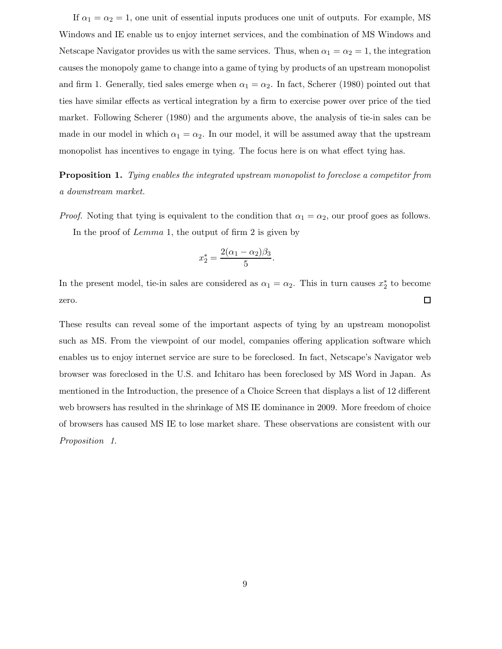If  $\alpha_1 = \alpha_2 = 1$ , one unit of essential inputs produces one unit of outputs. For example, MS Windows and IE enable us to enjoy internet services, and the combination of MS Windows and Netscape Navigator provides us with the same services. Thus, when  $\alpha_1 = \alpha_2 = 1$ , the integration causes the monopoly game to change into a game of tying by products of an upstream monopolist and firm 1. Generally, tied sales emerge when  $\alpha_1 = \alpha_2$ . In fact, Scherer (1980) pointed out that ties have similar effects as vertical integration by a firm to exercise power over price of the tied market. Following Scherer (1980) and the arguments above, the analysis of tie-in sales can be made in our model in which  $\alpha_1 = \alpha_2$ . In our model, it will be assumed away that the upstream monopolist has incentives to engage in tying. The focus here is on what effect tying has.

**Proposition 1.** *Tying enables the integrated upstream monopolist to foreclose a competitor from a downstream market.*

*Proof.* Noting that tying is equivalent to the condition that  $\alpha_1 = \alpha_2$ , our proof goes as follows. In the proof of Lemma 1, the output of firm 2 is given by

$$
x_2^* = \frac{2(\alpha_1 - \alpha_2)\beta_3}{5}.
$$

In the present model, tie-in sales are considered as  $\alpha_1 = \alpha_2$ . This in turn causes  $x_2^*$  to become zero.  $\Box$ 

These results can reveal some of the important aspects of tying by an upstream monopolist such as MS. From the viewpoint of our model, companies offering application software which enables us to enjoy internet service are sure to be foreclosed. In fact, Netscape's Navigator web browser was foreclosed in the U.S. and Ichitaro has been foreclosed by MS Word in Japan. As mentioned in the Introduction, the presence of a Choice Screen that displays a list of 12 different web browsers has resulted in the shrinkage of MS IE dominance in 2009. More freedom of choice of browsers has caused MS IE to lose market share. These observations are consistent with our *Proposition 1*.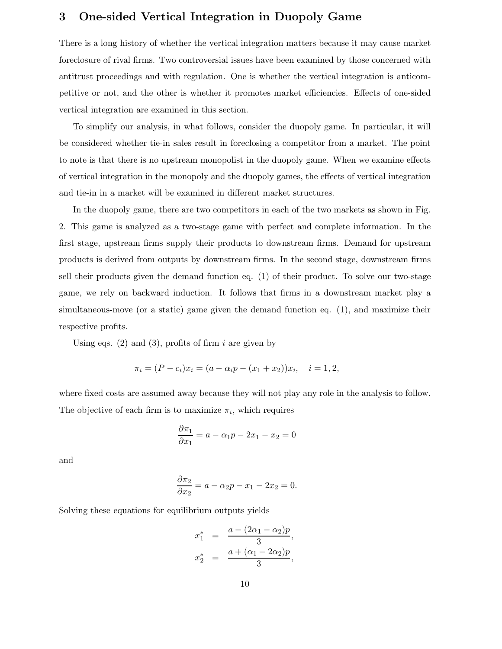# **3 One-sided Vertical Integration in Duopoly Game**

There is a long history of whether the vertical integration matters because it may cause market foreclosure of rival firms. Two controversial issues have been examined by those concerned with antitrust proceedings and with regulation. One is whether the vertical integration is anticompetitive or not, and the other is whether it promotes market efficiencies. Effects of one-sided vertical integration are examined in this section.

To simplify our analysis, in what follows, consider the duopoly game. In particular, it will be considered whether tie-in sales result in foreclosing a competitor from a market. The point to note is that there is no upstream monopolist in the duopoly game. When we examine effects of vertical integration in the monopoly and the duopoly games, the effects of vertical integration and tie-in in a market will be examined in different market structures.

In the duopoly game, there are two competitors in each of the two markets as shown in Fig. 2. This game is analyzed as a two-stage game with perfect and complete information. In the first stage, upstream firms supply their products to downstream firms. Demand for upstream products is derived from outputs by downstream firms. In the second stage, downstream firms sell their products given the demand function eq. (1) of their product. To solve our two-stage game, we rely on backward induction. It follows that firms in a downstream market play a simultaneous-move (or a static) game given the demand function eq. (1), and maximize their respective profits.

Using eqs. (2) and (3), profits of firm i are given by

$$
\pi_i = (P - c_i)x_i = (a - \alpha_i p - (x_1 + x_2))x_i, \quad i = 1, 2,
$$

where fixed costs are assumed away because they will not play any role in the analysis to follow. The objective of each firm is to maximize  $\pi_i$ , which requires

$$
\frac{\partial \pi_1}{\partial x_1} = a - \alpha_1 p - 2x_1 - x_2 = 0
$$

and

$$
\frac{\partial \pi_2}{\partial x_2} = a - \alpha_2 p - x_1 - 2x_2 = 0.
$$

Solving these equations for equilibrium outputs yields

$$
x_1^* = \frac{a - (2\alpha_1 - \alpha_2)p}{3},
$$
  

$$
x_2^* = \frac{a + (\alpha_1 - 2\alpha_2)p}{3},
$$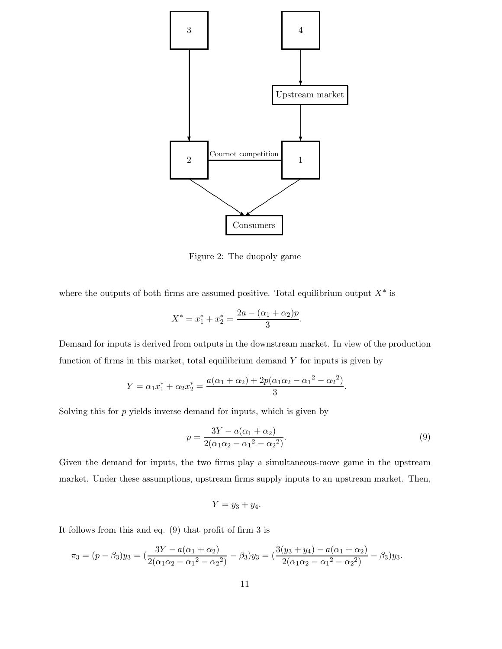

Figure 2: The duopoly game

where the outputs of both firms are assumed positive. Total equilibrium output  $X^*$  is

$$
X^* = x_1^* + x_2^* = \frac{2a - (\alpha_1 + \alpha_2)p}{3}.
$$

Demand for inputs is derived from outputs in the downstream market. In view of the production function of firms in this market, total equilibrium demand  $Y$  for inputs is given by

$$
Y = \alpha_1 x_1^* + \alpha_2 x_2^* = \frac{a(\alpha_1 + \alpha_2) + 2p(\alpha_1 \alpha_2 - \alpha_1^2 - \alpha_2^2)}{3}.
$$

Solving this for  $p$  yields inverse demand for inputs, which is given by

$$
p = \frac{3Y - a(\alpha_1 + \alpha_2)}{2(\alpha_1\alpha_2 - \alpha_1^2 - \alpha_2^2)}.
$$
\n(9)

Given the demand for inputs, the two firms play a simultaneous-move game in the upstream market. Under these assumptions, upstream firms supply inputs to an upstream market. Then,

$$
Y = y_3 + y_4.
$$

It follows from this and eq. (9) that profit of firm 3 is

$$
\pi_3 = (p - \beta_3)y_3 = \left(\frac{3Y - a(\alpha_1 + \alpha_2)}{2(\alpha_1\alpha_2 - \alpha_1^2 - \alpha_2^2)} - \beta_3\right)y_3 = \left(\frac{3(y_3 + y_4) - a(\alpha_1 + \alpha_2)}{2(\alpha_1\alpha_2 - \alpha_1^2 - \alpha_2^2)} - \beta_3\right)y_3.
$$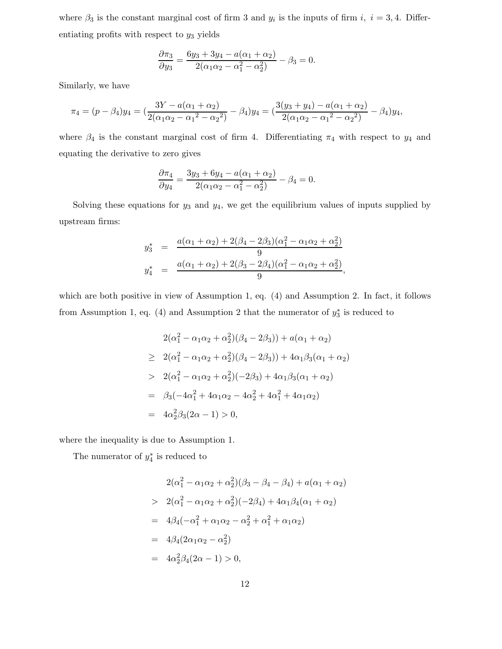where  $\beta_3$  is the constant marginal cost of firm 3 and  $y_i$  is the inputs of firm i, i = 3, 4. Differentiating profits with respect to  $y_3$  yields

$$
\frac{\partial \pi_3}{\partial y_3} = \frac{6y_3 + 3y_4 - a(\alpha_1 + \alpha_2)}{2(\alpha_1 \alpha_2 - \alpha_1^2 - \alpha_2^2)} - \beta_3 = 0.
$$

Similarly, we have

$$
\pi_4 = (p - \beta_4)y_4 = \left(\frac{3Y - a(\alpha_1 + \alpha_2)}{2(\alpha_1\alpha_2 - \alpha_1^2 - \alpha_2^2)} - \beta_4\right)y_4 = \left(\frac{3(y_3 + y_4) - a(\alpha_1 + \alpha_2)}{2(\alpha_1\alpha_2 - \alpha_1^2 - \alpha_2^2)} - \beta_4\right)y_4,
$$

where  $\beta_4$  is the constant marginal cost of firm 4. Differentiating  $\pi_4$  with respect to  $y_4$  and equating the derivative to zero gives

$$
\frac{\partial \pi_4}{\partial y_4} = \frac{3y_3 + 6y_4 - a(\alpha_1 + \alpha_2)}{2(\alpha_1\alpha_2 - \alpha_1^2 - \alpha_2^2)} - \beta_4 = 0.
$$

Solving these equations for  $y_3$  and  $y_4$ , we get the equilibrium values of inputs supplied by upstream firms:

$$
y_3^* = \frac{a(\alpha_1 + \alpha_2) + 2(\beta_4 - 2\beta_3)(\alpha_1^2 - \alpha_1\alpha_2 + \alpha_2^2)}{9}
$$
  

$$
y_4^* = \frac{a(\alpha_1 + \alpha_2) + 2(\beta_3 - 2\beta_4)(\alpha_1^2 - \alpha_1\alpha_2 + \alpha_2^2)}{9},
$$

which are both positive in view of Assumption 1, eq. (4) and Assumption 2. In fact, it follows from Assumption 1, eq. (4) and Assumption 2 that the numerator of  $y_3^*$  is reduced to

$$
2(\alpha_1^2 - \alpha_1 \alpha_2 + \alpha_2^2)(\beta_4 - 2\beta_3)) + a(\alpha_1 + \alpha_2)
$$
  
\n
$$
\geq 2(\alpha_1^2 - \alpha_1 \alpha_2 + \alpha_2^2)(\beta_4 - 2\beta_3)) + 4\alpha_1 \beta_3(\alpha_1 + \alpha_2)
$$
  
\n
$$
> 2(\alpha_1^2 - \alpha_1 \alpha_2 + \alpha_2^2)(-2\beta_3) + 4\alpha_1 \beta_3(\alpha_1 + \alpha_2)
$$
  
\n
$$
= \beta_3(-4\alpha_1^2 + 4\alpha_1 \alpha_2 - 4\alpha_2^2 + 4\alpha_1^2 + 4\alpha_1 \alpha_2)
$$
  
\n
$$
= 4\alpha_2^2 \beta_3(2\alpha - 1) > 0,
$$

where the inequality is due to Assumption 1.

The numerator of  $y_4^*$  is reduced to

$$
2(\alpha_1^2 - \alpha_1 \alpha_2 + \alpha_2^2)(\beta_3 - \beta_4 - \beta_4) + a(\alpha_1 + \alpha_2)
$$
  
> 
$$
2(\alpha_1^2 - \alpha_1 \alpha_2 + \alpha_2^2)(-2\beta_4) + 4\alpha_1 \beta_4 (\alpha_1 + \alpha_2)
$$
  
= 
$$
4\beta_4(-\alpha_1^2 + \alpha_1 \alpha_2 - \alpha_2^2 + \alpha_1^2 + \alpha_1 \alpha_2)
$$
  
= 
$$
4\beta_4(2\alpha_1 \alpha_2 - \alpha_2^2)
$$
  
= 
$$
4\alpha_2^2 \beta_4(2\alpha - 1) > 0,
$$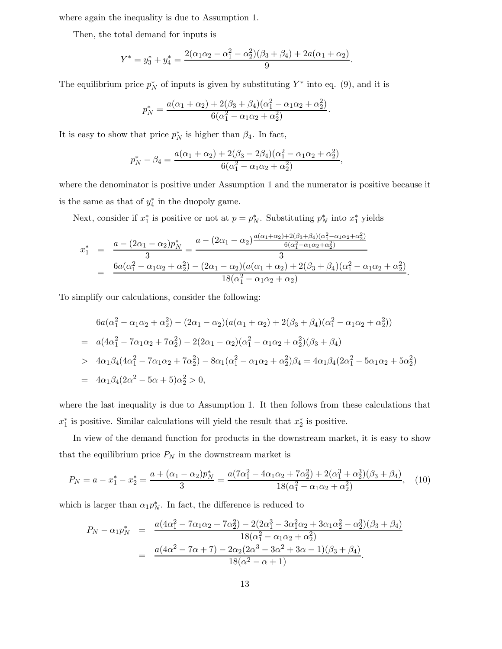where again the inequality is due to Assumption 1.

Then, the total demand for inputs is

$$
Y^* = y_3^* + y_4^* = \frac{2(\alpha_1\alpha_2 - \alpha_1^2 - \alpha_2^2)(\beta_3 + \beta_4) + 2a(\alpha_1 + \alpha_2)}{9}.
$$

The equilibrium price  $p_N^*$  of inputs is given by substituting  $Y^*$  into eq. (9), and it is

$$
p_N^* = \frac{a(\alpha_1 + \alpha_2) + 2(\beta_3 + \beta_4)(\alpha_1^2 - \alpha_1\alpha_2 + \alpha_2^2)}{6(\alpha_1^2 - \alpha_1\alpha_2 + \alpha_2^2)}.
$$

It is easy to show that price  $p_N^*$  is higher than  $\beta_4$ . In fact,

$$
p_N^* - \beta_4 = \frac{a(\alpha_1 + \alpha_2) + 2(\beta_3 - 2\beta_4)(\alpha_1^2 - \alpha_1\alpha_2 + \alpha_2^2)}{6(\alpha_1^2 - \alpha_1\alpha_2 + \alpha_2^2)},
$$

where the denominator is positive under Assumption 1 and the numerator is positive because it is the same as that of  $y_4^*$  in the duopoly game.

Next, consider if  $x_1^*$  is positive or not at  $p = p_N^*$ . Substituting  $p_N^*$  into  $x_1^*$  yields

$$
x_1^* = \frac{a - (2\alpha_1 - \alpha_2)p_N^*}{3} = \frac{a - (2\alpha_1 - \alpha_2)\frac{a(\alpha_1 + \alpha_2) + 2(\beta_3 + \beta_4)(\alpha_1^2 - \alpha_1\alpha_2 + \alpha_2^2)}{6(\alpha_1^2 - \alpha_1\alpha_2 + \alpha_2^2)}}{3}
$$
  
= 
$$
\frac{6a(\alpha_1^2 - \alpha_1\alpha_2 + \alpha_2^2) - (2\alpha_1 - \alpha_2)(a(\alpha_1 + \alpha_2) + 2(\beta_3 + \beta_4)(\alpha_1^2 - \alpha_1\alpha_2 + \alpha_2^2)}{18(\alpha_1^2 - \alpha_1\alpha_2 + \alpha_2)}.
$$

To simplify our calculations, consider the following:

$$
6a(\alpha_1^2 - \alpha_1\alpha_2 + \alpha_2^2) - (2\alpha_1 - \alpha_2)(a(\alpha_1 + \alpha_2) + 2(\beta_3 + \beta_4)(\alpha_1^2 - \alpha_1\alpha_2 + \alpha_2^2))
$$
  
=  $a(4\alpha_1^2 - 7\alpha_1\alpha_2 + 7\alpha_2^2) - 2(2\alpha_1 - \alpha_2)(\alpha_1^2 - \alpha_1\alpha_2 + \alpha_2^2)(\beta_3 + \beta_4)$   
>  $4\alpha_1\beta_4(4\alpha_1^2 - 7\alpha_1\alpha_2 + 7\alpha_2^2) - 8\alpha_1(\alpha_1^2 - \alpha_1\alpha_2 + \alpha_2^2)\beta_4 = 4\alpha_1\beta_4(2\alpha_1^2 - 5\alpha_1\alpha_2 + 5\alpha_2^2)$   
=  $4\alpha_1\beta_4(2\alpha^2 - 5\alpha + 5)\alpha_2^2 > 0$ ,

where the last inequality is due to Assumption 1. It then follows from these calculations that  $x_1^*$  is positive. Similar calculations will yield the result that  $x_2^*$  is positive.

In view of the demand function for products in the downstream market, it is easy to show that the equilibrium price  $P_N$  in the downstream market is

$$
P_N = a - x_1^* - x_2^* = \frac{a + (\alpha_1 - \alpha_2)p_N^*}{3} = \frac{a(7\alpha_1^2 - 4\alpha_1\alpha_2 + 7\alpha_2^2) + 2(\alpha_1^3 + \alpha_2^3)(\beta_3 + \beta_4)}{18(\alpha_1^2 - \alpha_1\alpha_2 + \alpha_2^2)},
$$
(10)

which is larger than  $\alpha_1 p_N^*$ . In fact, the difference is reduced to

$$
P_N - \alpha_1 p_N^* = \frac{a(4\alpha_1^2 - 7\alpha_1\alpha_2 + 7\alpha_2^2) - 2(2\alpha_1^3 - 3\alpha_1^2\alpha_2 + 3\alpha_1\alpha_2^2 - \alpha_2^3)(\beta_3 + \beta_4)}{18(\alpha_1^2 - \alpha_1\alpha_2 + \alpha_2^2)}
$$
  
= 
$$
\frac{a(4\alpha^2 - 7\alpha + 7) - 2\alpha_2(2\alpha^3 - 3\alpha^2 + 3\alpha - 1)(\beta_3 + \beta_4)}{18(\alpha^2 - \alpha + 1)}.
$$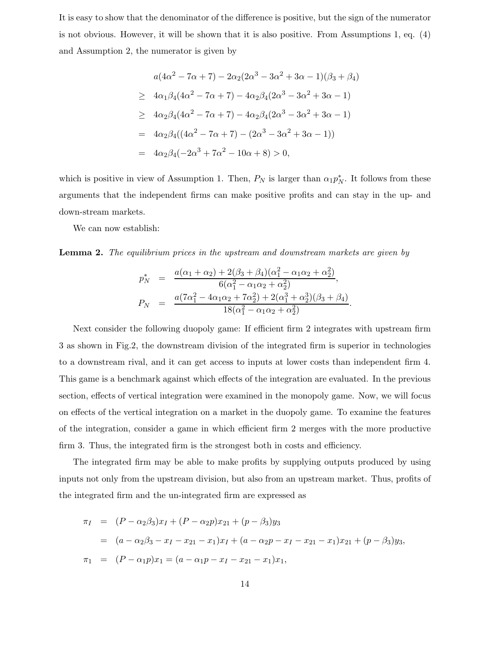It is easy to show that the denominator of the difference is positive, but the sign of the numerator is not obvious. However, it will be shown that it is also positive. From Assumptions 1, eq. (4) and Assumption 2, the numerator is given by

$$
a(4\alpha^2 - 7\alpha + 7) - 2\alpha_2(2\alpha^3 - 3\alpha^2 + 3\alpha - 1)(\beta_3 + \beta_4)
$$
  
\n
$$
\geq 4\alpha_1\beta_4(4\alpha^2 - 7\alpha + 7) - 4\alpha_2\beta_4(2\alpha^3 - 3\alpha^2 + 3\alpha - 1)
$$
  
\n
$$
\geq 4\alpha_2\beta_4(4\alpha^2 - 7\alpha + 7) - 4\alpha_2\beta_4(2\alpha^3 - 3\alpha^2 + 3\alpha - 1)
$$
  
\n
$$
= 4\alpha_2\beta_4((4\alpha^2 - 7\alpha + 7) - (2\alpha^3 - 3\alpha^2 + 3\alpha - 1))
$$
  
\n
$$
= 4\alpha_2\beta_4(-2\alpha^3 + 7\alpha^2 - 10\alpha + 8) > 0,
$$

which is positive in view of Assumption 1. Then,  $P_N$  is larger than  $\alpha_1 p_N^*$ . It follows from these arguments that the independent firms can make positive profits and can stay in the up- and down-stream markets.

We can now establish:

**Lemma 2.** *The equilibrium prices in the upstream and downstream markets are given by*

$$
p_N^* = \frac{a(\alpha_1 + \alpha_2) + 2(\beta_3 + \beta_4)(\alpha_1^2 - \alpha_1\alpha_2 + \alpha_2^2)}{6(\alpha_1^2 - \alpha_1\alpha_2 + \alpha_2^2)},
$$
  
\n
$$
P_N = \frac{a(7\alpha_1^2 - 4\alpha_1\alpha_2 + 7\alpha_2^2) + 2(\alpha_1^3 + \alpha_2^3)(\beta_3 + \beta_4)}{18(\alpha_1^2 - \alpha_1\alpha_2 + \alpha_2^2)}.
$$

Next consider the following duopoly game: If efficient firm 2 integrates with upstream firm 3 as shown in Fig.2, the downstream division of the integrated firm is superior in technologies to a downstream rival, and it can get access to inputs at lower costs than independent firm 4. This game is a benchmark against which effects of the integration are evaluated. In the previous section, effects of vertical integration were examined in the monopoly game. Now, we will focus on effects of the vertical integration on a market in the duopoly game. To examine the features of the integration, consider a game in which efficient firm 2 merges with the more productive firm 3. Thus, the integrated firm is the strongest both in costs and efficiency.

The integrated firm may be able to make profits by supplying outputs produced by using inputs not only from the upstream division, but also from an upstream market. Thus, profits of the integrated firm and the un-integrated firm are expressed as

$$
\pi_I = (P - \alpha_2 \beta_3)x_I + (P - \alpha_2 p)x_{21} + (p - \beta_3)y_3
$$
  
=  $(a - \alpha_2 \beta_3 - x_I - x_{21} - x_1)x_I + (a - \alpha_2 p - x_I - x_{21} - x_1)x_{21} + (p - \beta_3)y_3,$   

$$
\pi_1 = (P - \alpha_1 p)x_1 = (a - \alpha_1 p - x_I - x_{21} - x_1)x_1,
$$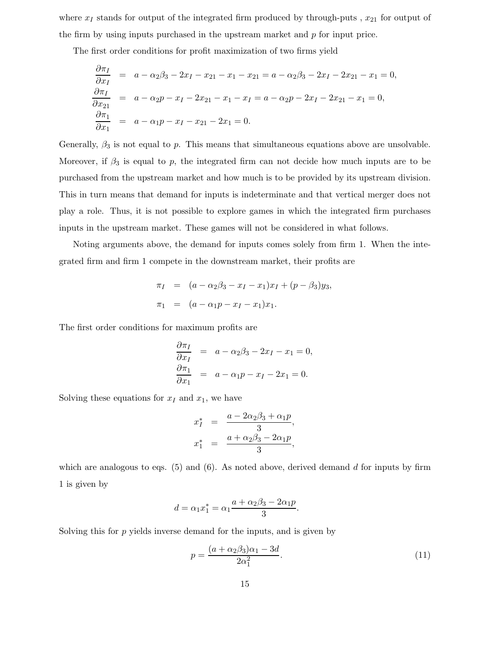where  $x_I$  stands for output of the integrated firm produced by through-puts ,  $x_{21}$  for output of the firm by using inputs purchased in the upstream market and  $p$  for input price.

The first order conditions for profit maximization of two firms yield

$$
\frac{\partial \pi_I}{\partial x_I} = a - \alpha_2 \beta_3 - 2x_I - x_{21} - x_1 - x_{21} = a - \alpha_2 \beta_3 - 2x_I - 2x_{21} - x_1 = 0,
$$
  
\n
$$
\frac{\partial \pi_I}{\partial x_{21}} = a - \alpha_2 p - x_I - 2x_{21} - x_1 - x_I = a - \alpha_2 p - 2x_I - 2x_{21} - x_1 = 0,
$$
  
\n
$$
\frac{\partial \pi_1}{\partial x_1} = a - \alpha_1 p - x_I - x_{21} - 2x_1 = 0.
$$

Generally,  $\beta_3$  is not equal to p. This means that simultaneous equations above are unsolvable. Moreover, if  $\beta_3$  is equal to p, the integrated firm can not decide how much inputs are to be purchased from the upstream market and how much is to be provided by its upstream division. This in turn means that demand for inputs is indeterminate and that vertical merger does not play a role. Thus, it is not possible to explore games in which the integrated firm purchases inputs in the upstream market. These games will not be considered in what follows.

Noting arguments above, the demand for inputs comes solely from firm 1. When the integrated firm and firm 1 compete in the downstream market, their profits are

$$
\pi_I = (a - \alpha_2 \beta_3 - x_I - x_1)x_I + (p - \beta_3)y_3,
$$
  

$$
\pi_1 = (a - \alpha_1 p - x_I - x_1)x_1.
$$

The first order conditions for maximum profits are

$$
\frac{\partial \pi_I}{\partial x_I} = a - \alpha_2 \beta_3 - 2x_I - x_1 = 0,
$$
  

$$
\frac{\partial \pi_1}{\partial x_1} = a - \alpha_1 p - x_I - 2x_1 = 0.
$$

Solving these equations for  $x_I$  and  $x_I$ , we have

$$
x_I^* = \frac{a - 2\alpha_2\beta_3 + \alpha_1p}{3},
$$
  

$$
x_1^* = \frac{a + \alpha_2\beta_3 - 2\alpha_1p}{3},
$$

which are analogous to eqs.  $(5)$  and  $(6)$ . As noted above, derived demand d for inputs by firm 1 is given by

$$
d = \alpha_1 x_1^* = \alpha_1 \frac{a + \alpha_2 \beta_3 - 2\alpha_1 p}{3}.
$$

Solving this for  $p$  yields inverse demand for the inputs, and is given by

$$
p = \frac{(a + \alpha_2 \beta_3)\alpha_1 - 3d}{2\alpha_1^2}.\tag{11}
$$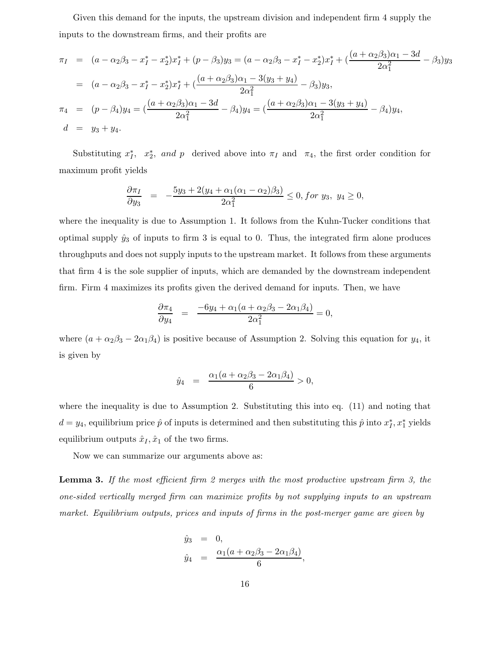Given this demand for the inputs, the upstream division and independent firm 4 supply the inputs to the downstream firms, and their profits are

$$
\pi_I = (a - \alpha_2 \beta_3 - x_I^* - x_2^*) x_I^* + (p - \beta_3) y_3 = (a - \alpha_2 \beta_3 - x_I^* - x_2^*) x_I^* + (\frac{(a + \alpha_2 \beta_3)\alpha_1 - 3d}{2\alpha_1^2} - \beta_3) y_3
$$
  
\n
$$
= (a - \alpha_2 \beta_3 - x_I^* - x_2^*) x_I^* + (\frac{(a + \alpha_2 \beta_3)\alpha_1 - 3(y_3 + y_4)}{2\alpha_1^2} - \beta_3) y_3,
$$
  
\n
$$
\pi_4 = (p - \beta_4) y_4 = (\frac{(a + \alpha_2 \beta_3)\alpha_1 - 3d}{2\alpha_1^2} - \beta_4) y_4 = (\frac{(a + \alpha_2 \beta_3)\alpha_1 - 3(y_3 + y_4)}{2\alpha_1^2} - \beta_4) y_4,
$$
  
\n
$$
d = y_3 + y_4.
$$

Substituting  $x_I^*$ ,  $x_2^*$ , and p derived above into  $\pi_I$  and  $\pi_I$ , the first order condition for maximum profit yields

$$
\frac{\partial \pi_I}{\partial y_3} = -\frac{5y_3 + 2(y_4 + \alpha_1(\alpha_1 - \alpha_2)\beta_3)}{2\alpha_1^2} \le 0, \text{ for } y_3, \ y_4 \ge 0,
$$

where the inequality is due to Assumption 1. It follows from the Kuhn-Tucker conditions that optimal supply  $\hat{y}_3$  of inputs to firm 3 is equal to 0. Thus, the integrated firm alone produces throughputs and does not supply inputs to the upstream market. It follows from these arguments that firm 4 is the sole supplier of inputs, which are demanded by the downstream independent firm. Firm 4 maximizes its profits given the derived demand for inputs. Then, we have

$$
\frac{\partial \pi_4}{\partial y_4} = \frac{-6y_4 + \alpha_1(a + \alpha_2\beta_3 - 2\alpha_1\beta_4)}{2\alpha_1^2} = 0,
$$

where  $(a + \alpha_2\beta_3 - 2\alpha_1\beta_4)$  is positive because of Assumption 2. Solving this equation for  $y_4$ , it is given by

$$
\hat{y}_4 = \frac{\alpha_1(a + \alpha_2\beta_3 - 2\alpha_1\beta_4)}{6} > 0,
$$

where the inequality is due to Assumption 2. Substituting this into eq. (11) and noting that  $d = y_4$ , equilibrium price  $\hat{p}$  of inputs is determined and then substituting this  $\hat{p}$  into  $x_I^*, x_I^*$  yields equilibrium outputs  $\hat{x}_I, \hat{x}_1$  of the two firms.

Now we can summarize our arguments above as:

**Lemma 3.** *If the most efficient firm 2 merges with the most productive upstream firm 3, the one-sided vertically merged firm can maximize profits by not supplying inputs to an upstream market. Equilibrium outputs, prices and inputs of firms in the post-merger game are given by*

$$
\hat{y}_3 = 0, \n\hat{y}_4 = \frac{\alpha_1(a + \alpha_2\beta_3 - 2\alpha_1\beta_4)}{6},
$$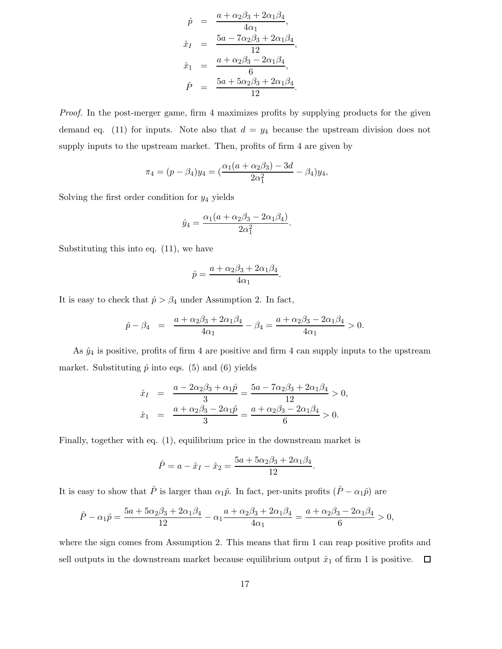$$
\hat{p} = \frac{a + \alpha_2 \beta_3 + 2\alpha_1 \beta_4}{4\alpha_1}, \n\hat{x}_I = \frac{5a - 7\alpha_2 \beta_3 + 2\alpha_1 \beta_4}{12}, \n\hat{x}_1 = \frac{a + \alpha_2 \beta_3 - 2\alpha_1 \beta_4}{6}, \n\hat{P} = \frac{5a + 5\alpha_2 \beta_3 + 2\alpha_1 \beta_4}{12}.
$$

*Proof.* In the post-merger game, firm 4 maximizes profits by supplying products for the given demand eq. (11) for inputs. Note also that  $d = y_4$  because the upstream division does not supply inputs to the upstream market. Then, profits of firm 4 are given by

$$
\pi_4 = (p - \beta_4)y_4 = \left(\frac{\alpha_1(a + \alpha_2\beta_3) - 3d}{2\alpha_1^2} - \beta_4\right)y_4,
$$

Solving the first order condition for  $y_4$  yields

$$
\hat{y}_4 = \frac{\alpha_1(a + \alpha_2\beta_3 - 2\alpha_1\beta_4)}{2\alpha_1^2}.
$$

Substituting this into eq. (11), we have

$$
\hat{p} = \frac{a + \alpha_2 \beta_3 + 2\alpha_1 \beta_4}{4\alpha_1}.
$$

It is easy to check that  $\hat{p} > \beta_4$  under Assumption 2. In fact,

$$
\hat{p} - \beta_4 = \frac{a + \alpha_2 \beta_3 + 2\alpha_1 \beta_4}{4\alpha_1} - \beta_4 = \frac{a + \alpha_2 \beta_3 - 2\alpha_1 \beta_4}{4\alpha_1} > 0.
$$

As  $\hat{y}_4$  is positive, profits of firm 4 are positive and firm 4 can supply inputs to the upstream market. Substituting  $\hat{p}$  into eqs. (5) and (6) yields

$$
\begin{array}{rcl}\n\hat{x}_I & = & \frac{a - 2\alpha_2\beta_3 + \alpha_1\hat{p}}{3} = \frac{5a - 7\alpha_2\beta_3 + 2\alpha_1\beta_4}{12} > 0, \\
\hat{x}_1 & = & \frac{a + \alpha_2\beta_3 - 2\alpha_1\hat{p}}{3} = \frac{a + \alpha_2\beta_3 - 2\alpha_1\beta_4}{6} > 0.\n\end{array}
$$

Finally, together with eq. (1), equilibrium price in the downstream market is

$$
\hat{P} = a - \hat{x}_I - \hat{x}_2 = \frac{5a + 5\alpha_2\beta_3 + 2\alpha_1\beta_4}{12}.
$$

It is easy to show that  $\hat{P}$  is larger than  $\alpha_1\hat{p}$ . In fact, per-units profits  $(\hat{P} - \alpha_1\hat{p})$  are

$$
\hat{P} - \alpha_1 \hat{p} = \frac{5a + 5\alpha_2\beta_3 + 2\alpha_1\beta_4}{12} - \alpha_1 \frac{a + \alpha_2\beta_3 + 2\alpha_1\beta_4}{4\alpha_1} = \frac{a + \alpha_2\beta_3 - 2\alpha_1\beta_4}{6} > 0,
$$

where the sign comes from Assumption 2. This means that firm 1 can reap positive profits and sell outputs in the downstream market because equilibrium output  $\hat{x}_1$  of firm 1 is positive.  $\Box$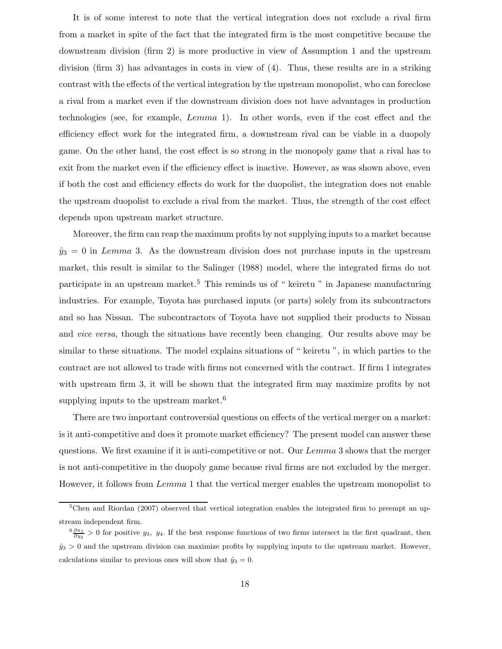It is of some interest to note that the vertical integration does not exclude a rival firm from a market in spite of the fact that the integrated firm is the most competitive because the downstream division (firm 2) is more productive in view of Assumption 1 and the upstream division (firm 3) has advantages in costs in view of (4). Thus, these results are in a striking contrast with the effects of the vertical integration by the upstream monopolist, who can foreclose a rival from a market even if the downstream division does not have advantages in production technologies (see, for example, Lemma 1). In other words, even if the cost effect and the efficiency effect work for the integrated firm, a downstream rival can be viable in a duopoly game. On the other hand, the cost effect is so strong in the monopoly game that a rival has to exit from the market even if the efficiency effect is inactive. However, as was shown above, even if both the cost and efficiency effects do work for the duopolist, the integration does not enable the upstream duopolist to exclude a rival from the market. Thus, the strength of the cost effect depends upon upstream market structure.

Moreover, the firm can reap the maximum profits by not supplying inputs to a market because  $\hat{y}_3 = 0$  in Lemma 3. As the downstream division does not purchase inputs in the upstream market, this result is similar to the Salinger (1988) model, where the integrated firms do not participate in an upstream market.<sup>5</sup> This reminds us of " keiretu " in Japanese manufacturing industries. For example, Toyota has purchased inputs (or parts) solely from its subcontractors and so has Nissan. The subcontractors of Toyota have not supplied their products to Nissan and *vice versa*, though the situations have recently been changing. Our results above may be similar to these situations. The model explains situations of " keiretu ", in which parties to the contract are not allowed to trade with firms not concerned with the contract. If firm 1 integrates with upstream firm 3, it will be shown that the integrated firm may maximize profits by not supplying inputs to the upstream market.<sup>6</sup>

There are two important controversial questions on effects of the vertical merger on a market: is it anti-competitive and does it promote market efficiency? The present model can answer these questions. We first examine if it is anti-competitive or not. Our Lemma 3 shows that the merger is not anti-competitive in the duopoly game because rival firms are not excluded by the merger. However, it follows from Lemma 1 that the vertical merger enables the upstream monopolist to

<sup>&</sup>lt;sup>5</sup>Chen and Riordan (2007) observed that vertical integration enables the integrated firm to preempt an upstream independent firm.

 $\frac{6}{\partial y_3}$  > 0 for positive *y*<sub>3</sub>, *y*<sub>4</sub>. If the best response functions of two firms intersect in the first quadrant, then  $\hat{y}_3 > 0$  and the upstream division can maximize profits by supplying inputs to the upstream market. However, calculations similar to previous ones will show that  $\hat{y}_3 = 0$ .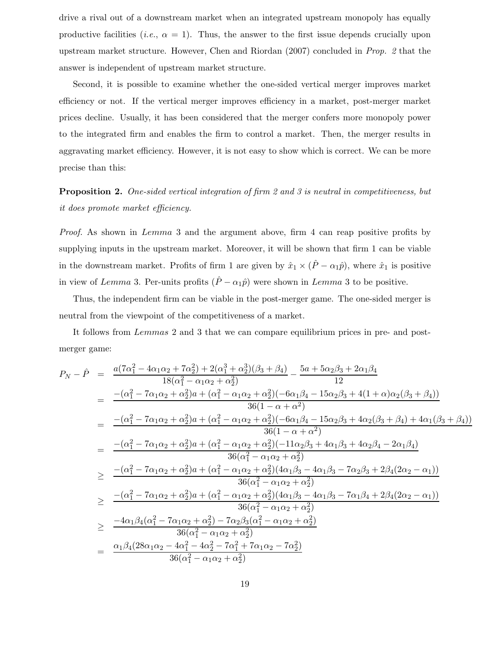drive a rival out of a downstream market when an integrated upstream monopoly has equally productive facilities (*i.e.*,  $\alpha = 1$ ). Thus, the answer to the first issue depends crucially upon upstream market structure. However, Chen and Riordan (2007) concluded in *Prop. 2* that the answer is independent of upstream market structure.

Second, it is possible to examine whether the one-sided vertical merger improves market efficiency or not. If the vertical merger improves efficiency in a market, post-merger market prices decline. Usually, it has been considered that the merger confers more monopoly power to the integrated firm and enables the firm to control a market. Then, the merger results in aggravating market efficiency. However, it is not easy to show which is correct. We can be more precise than this:

**Proposition 2.** *One-sided vertical integration of firm 2 and 3 is neutral in competitiveness, but it does promote market efficiency.*

*Proof.* As shown in *Lemma* 3 and the argument above, firm 4 can reap positive profits by supplying inputs in the upstream market. Moreover, it will be shown that firm 1 can be viable in the downstream market. Profits of firm 1 are given by  $\hat{x}_1 \times (\hat{P} - \alpha_1 \hat{p})$ , where  $\hat{x}_1$  is positive in view of Lemma 3. Per-units profits  $(\hat{P} - \alpha_1 \hat{p})$  were shown in Lemma 3 to be positive.

Thus, the independent firm can be viable in the post-merger game. The one-sided merger is neutral from the viewpoint of the competitiveness of a market.

It follows from Lemmas 2 and 3 that we can compare equilibrium prices in pre- and postmerger game:

$$
P_N - \hat{P} = \frac{a(7\alpha_1^2 - 4\alpha_1\alpha_2 + 7\alpha_2^2) + 2(\alpha_1^3 + \alpha_2^3)(\beta_3 + \beta_4)}{18(\alpha_1^2 - \alpha_1\alpha_2 + \alpha_2^2)} - \frac{5a + 5\alpha_2\beta_3 + 2\alpha_1\beta_4}{12}
$$
  
\n
$$
= \frac{-(\alpha_1^2 - 7\alpha_1\alpha_2 + \alpha_2^2)a + (\alpha_1^2 - \alpha_1\alpha_2 + \alpha_2^2)(-6\alpha_1\beta_4 - 15\alpha_2\beta_3 + 4(1 + \alpha)\alpha_2(\beta_3 + \beta_4))}{36(1 - \alpha + \alpha^2)}
$$
  
\n
$$
= \frac{-(\alpha_1^2 - 7\alpha_1\alpha_2 + \alpha_2^2)a + (\alpha_1^2 - \alpha_1\alpha_2 + \alpha_2^2)(-6\alpha_1\beta_4 - 15\alpha_2\beta_3 + 4\alpha_2(\beta_3 + \beta_4) + 4\alpha_1(\beta_3 + \beta_4))}{36(1 - \alpha + \alpha^2)}
$$
  
\n
$$
= \frac{-(\alpha_1^2 - 7\alpha_1\alpha_2 + \alpha_2^2)a + (\alpha_1^2 - \alpha_1\alpha_2 + \alpha_2^2)(-11\alpha_2\beta_3 + 4\alpha_1\beta_3 + 4\alpha_2\beta_4 - 2\alpha_1\beta_4)}{36(\alpha_1^2 - \alpha_1\alpha_2 + \alpha_2^2)}
$$
  
\n
$$
\geq \frac{-(\alpha_1^2 - 7\alpha_1\alpha_2 + \alpha_2^2)a + (\alpha_1^2 - \alpha_1\alpha_2 + \alpha_2^2)(4\alpha_1\beta_3 - 4\alpha_1\beta_3 - 7\alpha_2\beta_3 + 2\beta_4(2\alpha_2 - \alpha_1))}{36(\alpha_1^2 - \alpha_1\alpha_2 + \alpha_2^2)}
$$
  
\n
$$
\geq \frac{-(\alpha_1^2 - 7\alpha_1\alpha_2 + \alpha_2^2)a + (\alpha_1^2 - \alpha_1\alpha_2 + \alpha_2^2)(4\alpha_1\beta_3 - 4\alpha_1\beta_3 - 7\alpha_2\beta_
$$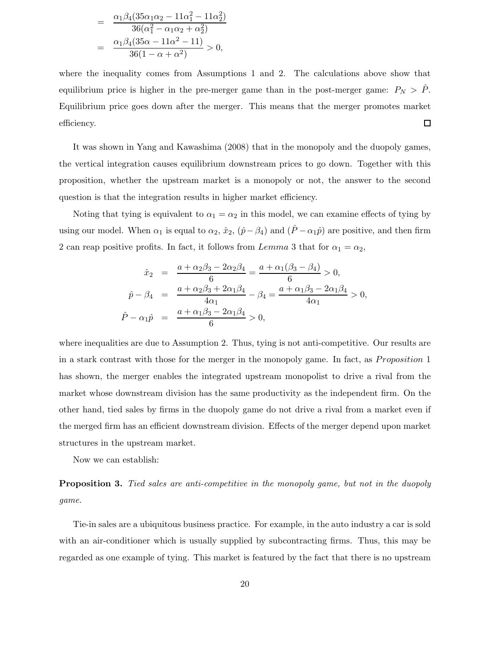$$
= \frac{\alpha_1 \beta_4 (35\alpha_1\alpha_2 - 11\alpha_1^2 - 11\alpha_2^2)}{36(\alpha_1^2 - \alpha_1\alpha_2 + \alpha_2^2)}
$$

$$
= \frac{\alpha_1 \beta_4 (35\alpha - 11\alpha^2 - 11)}{36(1 - \alpha + \alpha^2)} > 0,
$$

where the inequality comes from Assumptions 1 and 2. The calculations above show that equilibrium price is higher in the pre-merger game than in the post-merger game:  $P_N > \hat{P}$ . Equilibrium price goes down after the merger. This means that the merger promotes market efficiency.  $\Box$ 

It was shown in Yang and Kawashima (2008) that in the monopoly and the duopoly games, the vertical integration causes equilibrium downstream prices to go down. Together with this proposition, whether the upstream market is a monopoly or not, the answer to the second question is that the integration results in higher market efficiency.

Noting that tying is equivalent to  $\alpha_1 = \alpha_2$  in this model, we can examine effects of tying by using our model. When  $\alpha_1$  is equal to  $\alpha_2$ ,  $\hat{x}_2$ ,  $(\hat{p}-\beta_4)$  and  $(\hat{P}-\alpha_1\hat{p})$  are positive, and then firm 2 can reap positive profits. In fact, it follows from Lemma 3 that for  $\alpha_1 = \alpha_2$ ,

$$
\begin{array}{rcl}\n\hat{x}_2 &=& \frac{a + \alpha_2 \beta_3 - 2\alpha_2 \beta_4}{6} = \frac{a + \alpha_1 (\beta_3 - \beta_4)}{6} > 0, \\
\hat{p} - \beta_4 &=& \frac{a + \alpha_2 \beta_3 + 2\alpha_1 \beta_4}{4\alpha_1} - \beta_4 = \frac{a + \alpha_1 \beta_3 - 2\alpha_1 \beta_4}{4\alpha_1} > 0, \\
\hat{P} - \alpha_1 \hat{p} &=& \frac{a + \alpha_1 \beta_3 - 2\alpha_1 \beta_4}{6} > 0,\n\end{array}
$$

where inequalities are due to Assumption 2. Thus, tying is not anti-competitive. Our results are in a stark contrast with those for the merger in the monopoly game. In fact, as *Proposition* 1 has shown, the merger enables the integrated upstream monopolist to drive a rival from the market whose downstream division has the same productivity as the independent firm. On the other hand, tied sales by firms in the duopoly game do not drive a rival from a market even if the merged firm has an efficient downstream division. Effects of the merger depend upon market structures in the upstream market.

Now we can establish:

**Proposition 3.** *Tied sales are anti-competitive in the monopoly game, but not in the duopoly game.*

Tie-in sales are a ubiquitous business practice. For example, in the auto industry a car is sold with an air-conditioner which is usually supplied by subcontracting firms. Thus, this may be regarded as one example of tying. This market is featured by the fact that there is no upstream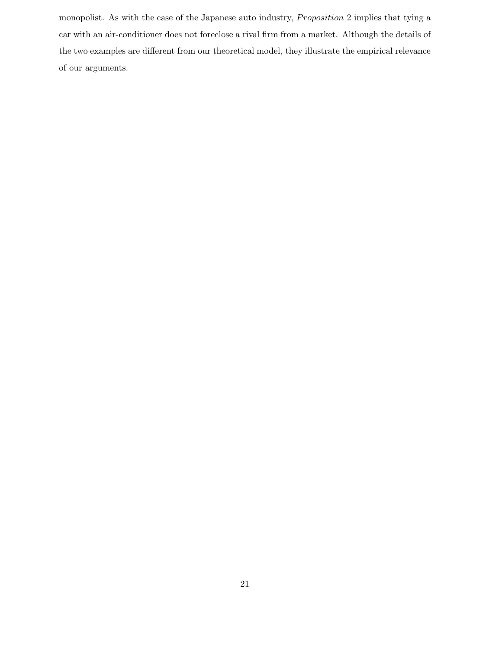monopolist. As with the case of the Japanese auto industry, *Proposition* 2 implies that tying a car with an air-conditioner does not foreclose a rival firm from a market. Although the details of the two examples are different from our theoretical model, they illustrate the empirical relevance of our arguments.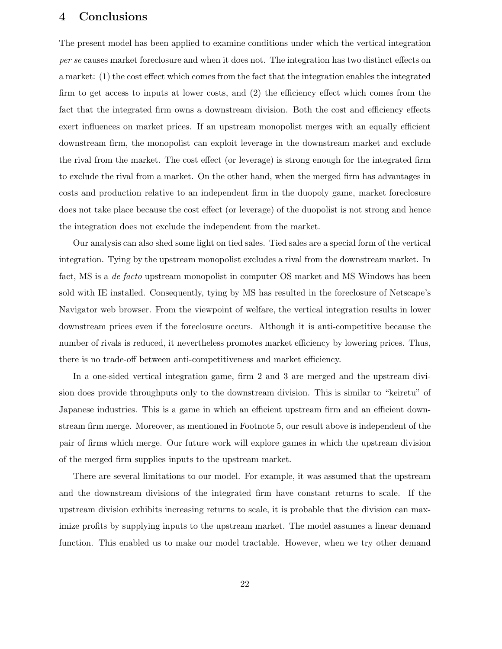### **4 Conclusions**

The present model has been applied to examine conditions under which the vertical integration *per se* causes market foreclosure and when it does not. The integration has two distinct effects on a market: (1) the cost effect which comes from the fact that the integration enables the integrated firm to get access to inputs at lower costs, and (2) the efficiency effect which comes from the fact that the integrated firm owns a downstream division. Both the cost and efficiency effects exert influences on market prices. If an upstream monopolist merges with an equally efficient downstream firm, the monopolist can exploit leverage in the downstream market and exclude the rival from the market. The cost effect (or leverage) is strong enough for the integrated firm to exclude the rival from a market. On the other hand, when the merged firm has advantages in costs and production relative to an independent firm in the duopoly game, market foreclosure does not take place because the cost effect (or leverage) of the duopolist is not strong and hence the integration does not exclude the independent from the market.

Our analysis can also shed some light on tied sales. Tied sales are a special form of the vertical integration. Tying by the upstream monopolist excludes a rival from the downstream market. In fact, MS is a *de facto* upstream monopolist in computer OS market and MS Windows has been sold with IE installed. Consequently, tying by MS has resulted in the foreclosure of Netscape's Navigator web browser. From the viewpoint of welfare, the vertical integration results in lower downstream prices even if the foreclosure occurs. Although it is anti-competitive because the number of rivals is reduced, it nevertheless promotes market efficiency by lowering prices. Thus, there is no trade-off between anti-competitiveness and market efficiency.

In a one-sided vertical integration game, firm 2 and 3 are merged and the upstream division does provide throughputs only to the downstream division. This is similar to "keiretu" of Japanese industries. This is a game in which an efficient upstream firm and an efficient downstream firm merge. Moreover, as mentioned in Footnote 5, our result above is independent of the pair of firms which merge. Our future work will explore games in which the upstream division of the merged firm supplies inputs to the upstream market.

There are several limitations to our model. For example, it was assumed that the upstream and the downstream divisions of the integrated firm have constant returns to scale. If the upstream division exhibits increasing returns to scale, it is probable that the division can maximize profits by supplying inputs to the upstream market. The model assumes a linear demand function. This enabled us to make our model tractable. However, when we try other demand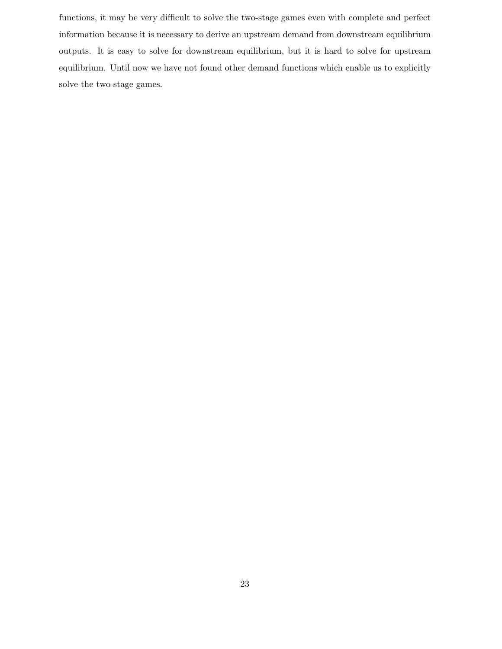functions, it may be very difficult to solve the two-stage games even with complete and perfect information because it is necessary to derive an upstream demand from downstream equilibrium outputs. It is easy to solve for downstream equilibrium, but it is hard to solve for upstream equilibrium. Until now we have not found other demand functions which enable us to explicitly solve the two-stage games.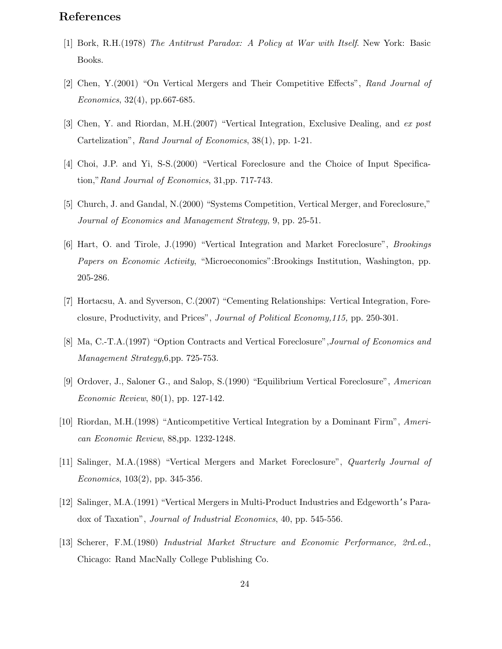## **References**

- [1] Bork, R.H.(1978) *The Antitrust Paradox: A Policy at War with Itself*. New York: Basic Books.
- [2] Chen, Y.(2001) "On Vertical Mergers and Their Competitive Effects", *Rand Journal of Economics*, 32(4), pp.667-685.
- [3] Chen, Y. and Riordan, M.H.(2007) "Vertical Integration, Exclusive Dealing, and *ex post* Cartelization", *Rand Journal of Economics*, 38(1), pp. 1-21.
- [4] Choi, J.P. and Yi, S-S.(2000) "Vertical Foreclosure and the Choice of Input Specification,"*Rand Journal of Economics*, 31,pp. 717-743.
- [5] Church, J. and Gandal, N.(2000) "Systems Competition, Vertical Merger, and Foreclosure," *Journal of Economics and Management Strategy*, 9, pp. 25-51.
- [6] Hart, O. and Tirole, J.(1990) "Vertical Integration and Market Foreclosure", *Brookings Papers on Economic Activity*, "Microeconomics":Brookings Institution, Washington, pp. 205-286.
- [7] Hortacsu, A. and Syverson, C.(2007) "Cementing Relationships: Vertical Integration, Foreclosure, Productivity, and Prices", *Journal of Political Economy,115,* pp. 250-301.
- [8] Ma, C.-T.A.(1997) "Option Contracts and Vertical Foreclosure",*Journal of Economics and Management Strategy*,6,pp. 725-753.
- [9] Ordover, J., Saloner G., and Salop, S.(1990) "Equilibrium Vertical Foreclosure", *American Economic Review*, 80(1), pp. 127-142.
- [10] Riordan, M.H.(1998) "Anticompetitive Vertical Integration by a Dominant Firm", *American Economic Review*, 88,pp. 1232-1248.
- [11] Salinger, M.A.(1988) "Vertical Mergers and Market Foreclosure", *Quarterly Journal of Economics*, 103(2), pp. 345-356.
- [12] Salinger, M.A.(1991) "Vertical Mergers in Multi-Product Industries and Edgeworth's Paradox of Taxation", *Journal of Industrial Economics*, 40, pp. 545-556.
- [13] Scherer, F.M.(1980) *Industrial Market Structure and Economic Performance, 2rd.ed.*, Chicago: Rand MacNally College Publishing Co.